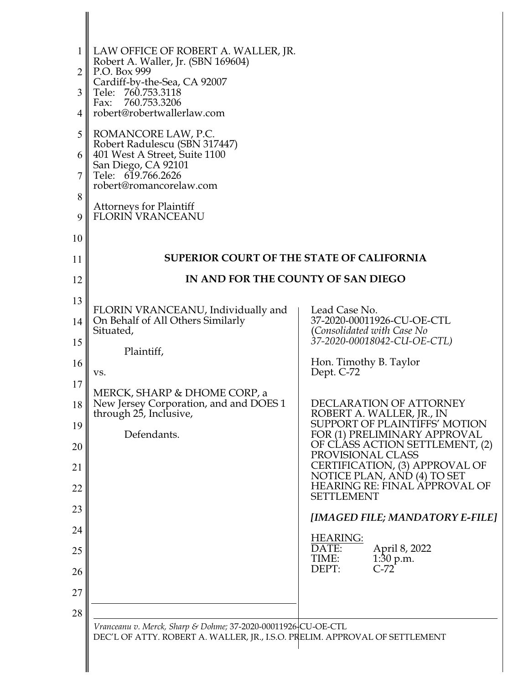| $\mathbf{1}$   | LAW OFFICE OF ROBERT A. WALLER, JR.<br>Robert A. Waller, Jr. (SBN 169604)   |                                                                                       |
|----------------|-----------------------------------------------------------------------------|---------------------------------------------------------------------------------------|
| $\overline{2}$ | P.O. Box 999                                                                |                                                                                       |
| 3              | Cardiff-by-the-Sea, CA 92007<br>Tele: 760.753.3118<br>760.753.3206<br>Fax:  |                                                                                       |
| 4              | robert@robertwallerlaw.com                                                  |                                                                                       |
| 5              | ROMANCORE LAW, P.C.<br>Robert Radulescu (SBN 317447)                        |                                                                                       |
| 6              | 401 West A Street, Suite 1100<br>San Diego, CA 92101                        |                                                                                       |
| 7              | Tele: 619.766.2626<br>robert@romancorelaw.com                               |                                                                                       |
| 8              | <b>Attorneys for Plaintiff</b>                                              |                                                                                       |
| 9              | <b>FLORIN VRANCEANU</b>                                                     |                                                                                       |
| 10             |                                                                             |                                                                                       |
| 11             | <b>SUPERIOR COURT OF THE STATE OF CALIFORNIA</b>                            |                                                                                       |
| 12             | IN AND FOR THE COUNTY OF SAN DIEGO                                          |                                                                                       |
| 13             | FLORIN VRANCEANU, Individually and                                          | Lead Case No.                                                                         |
| 14             | On Behalf of All Others Similarly<br>Situated,                              | 37-2020-00011926-CU-OE-CTL<br>(Consolidated with Case No                              |
| 15             | Plaintiff,                                                                  | 37-2020-00018042-CU-OE-CTL)                                                           |
| 16             | VS.                                                                         | Hon. Timothy B. Taylor<br>Dept. C-72                                                  |
| 17             | MERCK, SHARP & DHOME CORP, a                                                |                                                                                       |
| 18<br>19       | New Jersey Corporation, and and DOES 1<br>through 25, Inclusive,            | DECLARATION OF ATTORNEY<br>ROBERT A. WALLER, JR., IN<br>SUPPORT OF PLAINTIFFS' MOTION |
| 20             | Defendants.                                                                 | FOR (1) PRELIMINARY APPROVAL<br>OF CLASS ACTION SETTLEMENT, (2)                       |
| 21             |                                                                             | PROVISIONAL CLASS<br>CERTIFICATION, (3) APPROVAL OF<br>NOTICE PLAN, AND (4) TO SET    |
| 22             |                                                                             | HEARING RE: FINAL APPROVAL OF<br><b>SETTLEMENT</b>                                    |
| 23             |                                                                             | [IMAGED FILE; MANDATORY E-FILE]                                                       |
| 24             |                                                                             | <b>HEARING:</b>                                                                       |
| 25<br>26       |                                                                             | DATE:<br>April 8, 2022<br>$1:30$ p.m.<br>TIME:<br>$C-72$<br>DEPT:                     |
| 27             |                                                                             |                                                                                       |
| 28             |                                                                             |                                                                                       |
|                | Vranceanu v. Merck, Sharp & Dohme; 37-2020-00011926-CU-OE-CTL               |                                                                                       |
|                | DEC'L OF ATTY. ROBERT A. WALLER, JR., I.S.O. PRELIM. APPROVAL OF SETTLEMENT |                                                                                       |
|                |                                                                             |                                                                                       |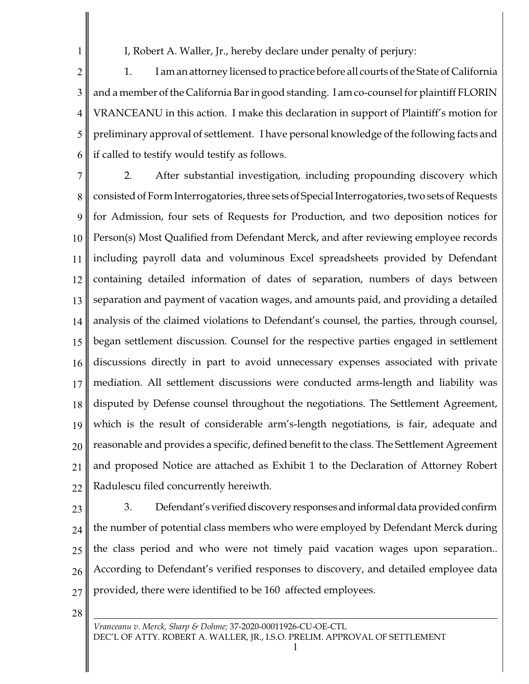I, Robert A. Waller, Jr., hereby declare under penalty of perjury:

2 3 4 5 6 1. I am an attorney licensed to practice before all courts of the State of California and a member of the California Barin good standing. I am co-counsel for plaintiff FLORIN VRANCEANU in this action. I make this declaration in support of Plaintiff's motion for preliminary approval of settlement. I have personal knowledge of the following facts and if called to testify would testify as follows.

7 8 9 10 11 12 13 14 15 16 17 18 19 20 21 22 2. After substantial investigation, including propounding discovery which consisted of FormInterrogatories, three sets of Special Interrogatories, two sets of Requests for Admission, four sets of Requests for Production, and two deposition notices for Person(s) Most Qualified from Defendant Merck, and after reviewing employee records including payroll data and voluminous Excel spreadsheets provided by Defendant containing detailed information of dates of separation, numbers of days between separation and payment of vacation wages, and amounts paid, and providing a detailed analysis of the claimed violations to Defendant's counsel, the parties, through counsel, began settlement discussion. Counsel for the respective parties engaged in settlement discussions directly in part to avoid unnecessary expenses associated with private mediation. All settlement discussions were conducted arms-length and liability was disputed by Defense counsel throughout the negotiations. The Settlement Agreement, which is the result of considerable arm's-length negotiations, is fair, adequate and reasonable and provides a specific, defined benefit to the class. The Settlement Agreement and proposed Notice are attached as Exhibit 1 to the Declaration of Attorney Robert Radulescu filed concurrently hereiwth.

23

1

24 25 26 27 3. Defendant's verified discovery responses and informal data provided confirm the number of potential class members who were employed by Defendant Merck during the class period and who were not timely paid vacation wages upon separation.. According to Defendant's verified responses to discovery, and detailed employee data provided, there were identified to be 160 affected employees.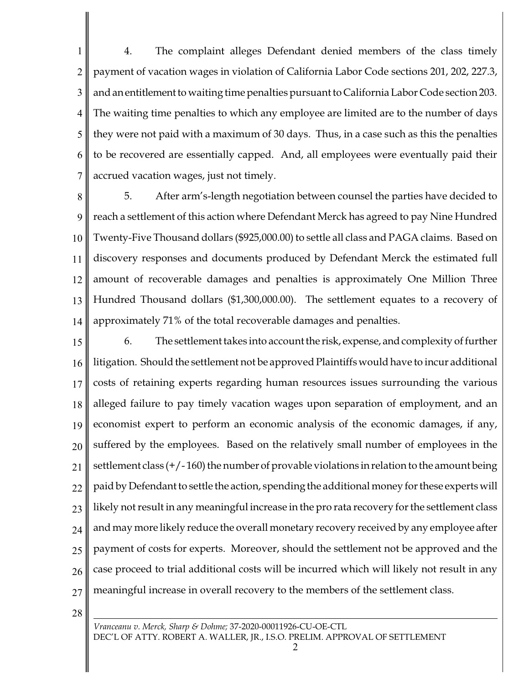1 2 3 4 5 6 7 4. The complaint alleges Defendant denied members of the class timely payment of vacation wages in violation of California Labor Code sections 201, 202, 227.3, and an entitlement to waiting time penalties pursuant to California Labor Code section 203. The waiting time penalties to which any employee are limited are to the number of days they were not paid with a maximum of 30 days. Thus, in a case such as this the penalties to be recovered are essentially capped. And, all employees were eventually paid their accrued vacation wages, just not timely.

8 9 10 11 12 13 14 5. After arm's-length negotiation between counsel the parties have decided to reach a settlement of this action where Defendant Merck has agreed to pay Nine Hundred Twenty-Five Thousand dollars (\$925,000.00) to settle all class and PAGA claims. Based on discovery responses and documents produced by Defendant Merck the estimated full amount of recoverable damages and penalties is approximately One Million Three Hundred Thousand dollars (\$1,300,000.00). The settlement equates to a recovery of approximately 71% of the total recoverable damages and penalties.

15 16 17 18 19 20 21 22 23 24 25 26 27 6. The settlement takes into account the risk, expense, and complexity of further litigation. Should the settlement not be approved Plaintiffs would have to incur additional costs of retaining experts regarding human resources issues surrounding the various alleged failure to pay timely vacation wages upon separation of employment, and an economist expert to perform an economic analysis of the economic damages, if any, suffered by the employees. Based on the relatively small number of employees in the settlement class (+/- 160) the number of provable violations in relation to the amount being paid by Defendant to settle the action, spending the additional money for these experts will likely not result in any meaningful increase in the pro rata recovery for the settlement class and may more likely reduce the overall monetary recovery received by any employee after payment of costs for experts. Moreover, should the settlement not be approved and the case proceed to trial additional costs will be incurred which will likely not result in any meaningful increase in overall recovery to the members of the settlement class.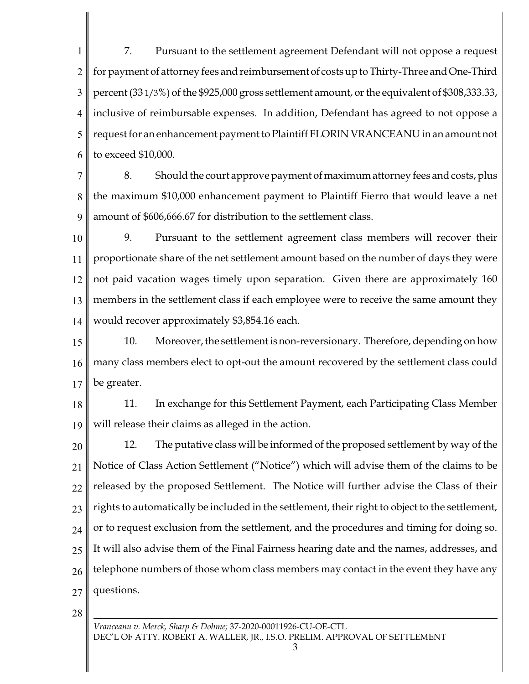1 2 3 4 5 6 7. Pursuant to the settlement agreement Defendant will not oppose a request for payment of attorney fees and reimbursement of costs up to Thirty-Three and One-Third percent  $(33\frac{1}{3}\%)$  of the \$925,000 gross settlement amount, or the equivalent of \$308,333.33, inclusive of reimbursable expenses. In addition, Defendant has agreed to not oppose a request for an enhancement payment to Plaintiff FLORIN VRANCEANU in an amount not to exceed \$10,000.

7 8 9 8. Should the court approve payment of maximum attorney fees and costs, plus the maximum \$10,000 enhancement payment to Plaintiff Fierro that would leave a net amount of \$606,666.67 for distribution to the settlement class.

10 11 12 13 14 9. Pursuant to the settlement agreement class members will recover their proportionate share of the net settlement amount based on the number of days they were not paid vacation wages timely upon separation. Given there are approximately 160 members in the settlement class if each employee were to receive the same amount they would recover approximately \$3,854.16 each.

15 16 17 10. Moreover, the settlement isnon-reversionary. Therefore, depending on how many class members elect to opt-out the amount recovered by the settlement class could be greater.

18 19 11. In exchange for this Settlement Payment, each Participating Class Member will release their claims as alleged in the action.

20 21 22 23 24 25 26 27 12. The putative class will be informed of the proposed settlement by way of the Notice of Class Action Settlement ("Notice") which will advise them of the claims to be released by the proposed Settlement. The Notice will further advise the Class of their rights to automatically be included in the settlement, their right to object to the settlement, or to request exclusion from the settlement, and the procedures and timing for doing so. It will also advise them of the Final Fairness hearing date and the names, addresses, and telephone numbers of those whom class members may contact in the event they have any questions.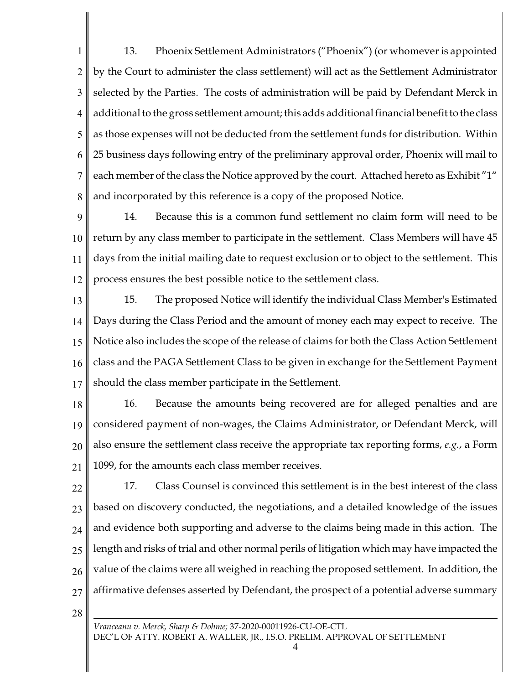1 2 3 4 5 6 7 8 13. Phoenix Settlement Administrators ("Phoenix") (or whomever is appointed by the Court to administer the class settlement) will act as the Settlement Administrator selected by the Parties. The costs of administration will be paid by Defendant Merck in additional to the gross settlement amount; this adds additional financial benefit to the class as those expenses will not be deducted from the settlement funds for distribution. Within 25 business days following entry of the preliminary approval order, Phoenix will mail to each member of the class the Notice approved by the court. Attached hereto as Exhibit "1" and incorporated by this reference is a copy of the proposed Notice.

9 10 11 12 14. Because this is a common fund settlement no claim form will need to be return by any class member to participate in the settlement. Class Members will have 45 days from the initial mailing date to request exclusion or to object to the settlement. This process ensures the best possible notice to the settlement class.

13 14 15 16 17 15. The proposed Notice will identify the individual Class Member's Estimated Days during the Class Period and the amount of money each may expect to receive. The Notice also includes the scope of the release of claims for both the Class Action Settlement class and the PAGA Settlement Class to be given in exchange for the Settlement Payment should the class member participate in the Settlement.

- 18 19 20 21 16. Because the amounts being recovered are for alleged penalties and are considered payment of non-wages, the Claims Administrator, or Defendant Merck, will also ensure the settlement class receive the appropriate tax reporting forms, *e.g.*, a Form 1099, for the amounts each class member receives.
- 22 23 24 25 26 27 17. Class Counsel is convinced this settlement is in the best interest of the class based on discovery conducted, the negotiations, and a detailed knowledge of the issues and evidence both supporting and adverse to the claims being made in this action. The length and risks of trial and other normal perils of litigation which may have impacted the value of the claims were all weighed in reaching the proposed settlement. In addition, the affirmative defenses asserted by Defendant, the prospect of a potential adverse summary
- 28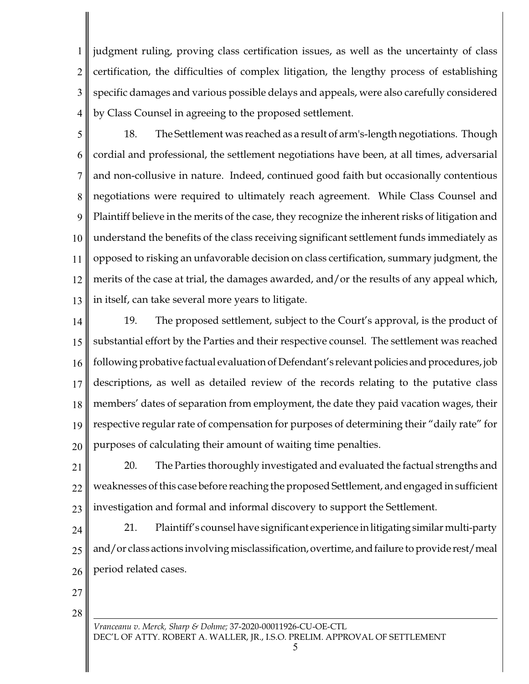1 2 3 4 judgment ruling, proving class certification issues, as well as the uncertainty of class certification, the difficulties of complex litigation, the lengthy process of establishing specific damages and various possible delays and appeals, were also carefully considered by Class Counsel in agreeing to the proposed settlement.

5 6 7 8 9 10 11 12 13 18. The Settlement was reached as a result of arm's-length negotiations. Though cordial and professional, the settlement negotiations have been, at all times, adversarial and non-collusive in nature. Indeed, continued good faith but occasionally contentious negotiations were required to ultimately reach agreement. While Class Counsel and Plaintiff believe in the merits of the case, they recognize the inherent risks of litigation and understand the benefits of the class receiving significant settlement funds immediately as opposed to risking an unfavorable decision on class certification, summary judgment, the merits of the case at trial, the damages awarded, and/or the results of any appeal which, in itself, can take several more years to litigate.

14 15 16 17 18 19 20 19. The proposed settlement, subject to the Court's approval, is the product of substantial effort by the Parties and their respective counsel. The settlement was reached following probative factual evaluation of Defendant's relevant policies and procedures, job descriptions, as well as detailed review of the records relating to the putative class members' dates of separation from employment, the date they paid vacation wages, their respective regular rate of compensation for purposes of determining their "daily rate" for purposes of calculating their amount of waiting time penalties.

21 22 23 20. The Parties thoroughly investigated and evaluated the factual strengths and weaknesses of this case before reaching the proposed Settlement, and engaged in sufficient investigation and formal and informal discovery to support the Settlement.

24 25 26 21. Plaintiff's counsel have significant experience in litigating similar multi-party and/or class actions involving misclassification, overtime, and failure to provide rest/meal period related cases.

27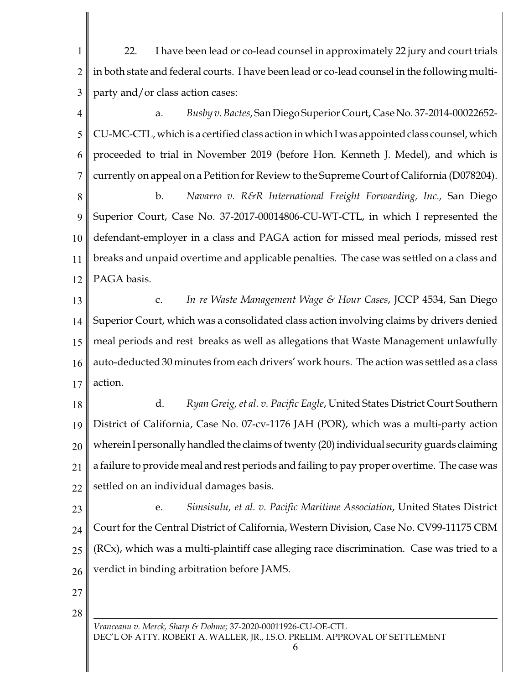1 2 3 22. I have been lead or co-lead counsel in approximately 22 jury and court trials in both state and federal courts. I have been lead or co-lead counsel in the following multiparty and/or class action cases:

4 5 6 7 a. *Busby v. Bactes*, San Diego Superior Court, Case No. 37-2014-00022652- CU-MC-CTL, which is a certified class action in which I was appointed class counsel, which proceeded to trial in November 2019 (before Hon. Kenneth J. Medel), and which is currently on appeal on a Petition for Review to the Supreme Court of California (D078204).

8 9 10 11 12 b. *Navarro v. R&R International Freight Forwarding, Inc.,* San Diego Superior Court, Case No. 37-2017-00014806-CU-WT-CTL, in which I represented the defendant-employer in a class and PAGA action for missed meal periods, missed rest breaks and unpaid overtime and applicable penalties. The case was settled on a class and PAGA basis.

13 14 15 16 17 c. *In re Waste Management Wage & Hour Cases*, JCCP 4534, San Diego Superior Court, which was a consolidated class action involving claims by drivers denied meal periods and rest breaks as well as allegations that Waste Management unlawfully auto-deducted 30 minutes from each drivers' work hours. The action was settled as a class action.

18 19 20 21 22 d. *Ryan Greig, et al. v. Pacific Eagle*, United States District Court Southern District of California, Case No. 07-cv-1176 JAH (POR), which was a multi-party action wherein I personally handled the claims of twenty (20) individual security guards claiming a failure to provide meal and rest periods and failing to pay proper overtime. The case was settled on an individual damages basis.

23 24 25 26 e. *Simsisulu, et al. v. Pacific Maritime Association*, United States District Court for the Central District of California, Western Division, Case No. CV99-11175 CBM (RCx), which was a multi-plaintiff case alleging race discrimination. Case was tried to a verdict in binding arbitration before JAMS.

27

28

*Vranceanu v. Merck, Sharp & Dohme;* 37-2020-00011926-CU-OE-CTL DEC'L OF ATTY. ROBERT A. WALLER, JR., I.S.O. PRELIM. APPROVAL OF SETTLEMENT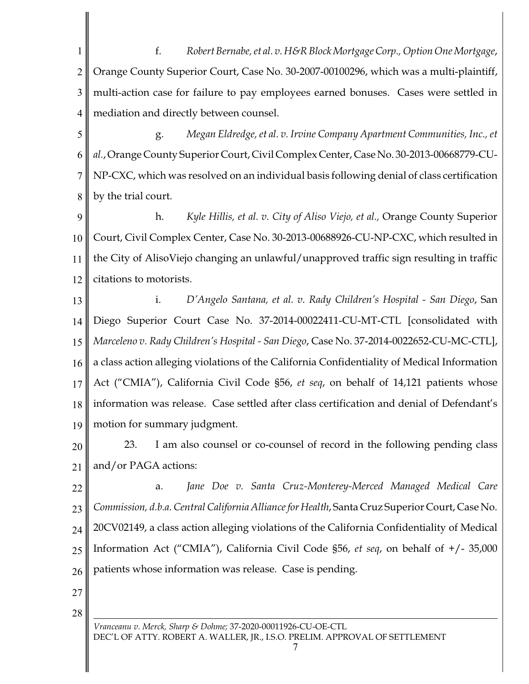1 2 3 4 f. *Robert Bernabe, et al. v. H&R Block Mortgage Corp., Option One Mortgage*, Orange County Superior Court, Case No. 30-2007-00100296, which was a multi-plaintiff, multi-action case for failure to pay employees earned bonuses. Cases were settled in mediation and directly between counsel.

5 6 7 8 g. *Megan Eldredge, et al. v. Irvine Company Apartment Communities, Inc., et al.*, Orange County Superior Court, Civil Complex Center, Case No. 30-2013-00668779-CU-NP-CXC, which was resolved on an individual basis following denial of class certification by the trial court.

9 10 11 12 h. *Kyle Hillis, et al. v. City of Aliso Viejo, et al.,* Orange County Superior Court, Civil Complex Center, Case No. 30-2013-00688926-CU-NP-CXC, which resulted in the City of AlisoViejo changing an unlawful/unapproved traffic sign resulting in traffic citations to motorists.

13 14 15 16 17 18 19 i. *D'Angelo Santana, et al. v. Rady Children's Hospital - San Diego*, San Diego Superior Court Case No. 37-2014-00022411-CU-MT-CTL [consolidated with *Marceleno v. Rady Children's Hospital - San Diego*, Case No. 37-2014-0022652-CU-MC-CTL], a class action alleging violations of the California Confidentiality of Medical Information Act ("CMIA"), California Civil Code §56, *et seq*, on behalf of 14,121 patients whose information was release. Case settled after class certification and denial of Defendant's motion for summary judgment.

20 21 23. I am also counsel or co-counsel of record in the following pending class and/or PAGA actions:

22 23 24 25 26 a. *Jane Doe v. Santa Cruz-Monterey-Merced Managed Medical Care Commission, d.b.a. Central California Alliance for Health*, Santa Cruz Superior Court, Case No. 20CV02149, a class action alleging violations of the California Confidentiality of Medical Information Act ("CMIA"), California Civil Code §56, *et seq*, on behalf of +/- 35,000 patients whose information was release. Case is pending.

27

28

*Vranceanu v. Merck, Sharp & Dohme;* 37-2020-00011926-CU-OE-CTL DEC'L OF ATTY. ROBERT A. WALLER, JR., I.S.O. PRELIM. APPROVAL OF SETTLEMENT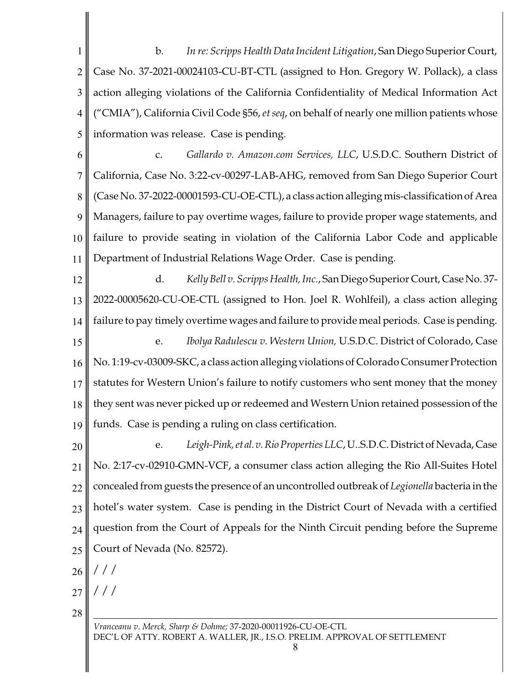1 2 3 4 5 b. *In re: Scripps Health Data Incident Litigation*, San Diego Superior Court, Case No. 37-2021-00024103-CU-BT-CTL (assigned to Hon. Gregory W. Pollack), a class action alleging violations of the California Confidentiality of Medical Information Act ("CMIA"), California Civil Code §56, *et seq*, on behalf of nearly one million patients whose information was release. Case is pending.

6 7 8 9 10 11 c. *Gallardo v. Amazon.com Services, LLC*, U.S.D.C. Southern District of California, Case No. 3:22-cv-00297-LAB-AHG, removed from San Diego Superior Court (Case No. 37-2022-00001593-CU-OE-CTL), a class action alleging mis-classification of Area Managers, failure to pay overtime wages, failure to provide proper wage statements, and failure to provide seating in violation of the California Labor Code and applicable Department of Industrial Relations Wage Order. Case is pending.

12 13 14 15 16 17 18 d. *Kelly Bell v. Scripps Health, Inc.*, San Diego Superior Court, Case No. 37- 2022-00005620-CU-OE-CTL (assigned to Hon. Joel R. Wohlfeil), a class action alleging failure to pay timely overtime wages and failure to provide meal periods. Case is pending. e. *Ibolya Radulescu v. Western Union,* U.S.D.C. District of Colorado, Case No. 1:19-cv-03009-SKC, a class action alleging violations of Colorado Consumer Protection statutes for Western Union's failure to notify customers who sent money that the money they sent was never picked up or redeemed and Western Union retained possession of the

20 21 22 23 24 25 e. *Leigh-Pink,et al. v.RioProperties LLC*, U..S.D.C. District ofNevada,Case No. 2:17-cv-02910-GMN-VCF, a consumer class action alleging the Rio All-Suites Hotel concealed from guests the presence of an uncontrolled outbreak of *Legionella* bacteria in the hotel's water system. Case is pending in the District Court of Nevada with a certified question from the Court of Appeals for the Ninth Circuit pending before the Supreme Court of Nevada (No. 82572).

funds. Case is pending a ruling on class certification.

26 / / /

27 / / /

28

19

*Vranceanu v. Merck, Sharp & Dohme;* 37-2020-00011926-CU-OE-CTL DEC'L OF ATTY. ROBERT A. WALLER, JR., I.S.O. PRELIM. APPROVAL OF SETTLEMENT